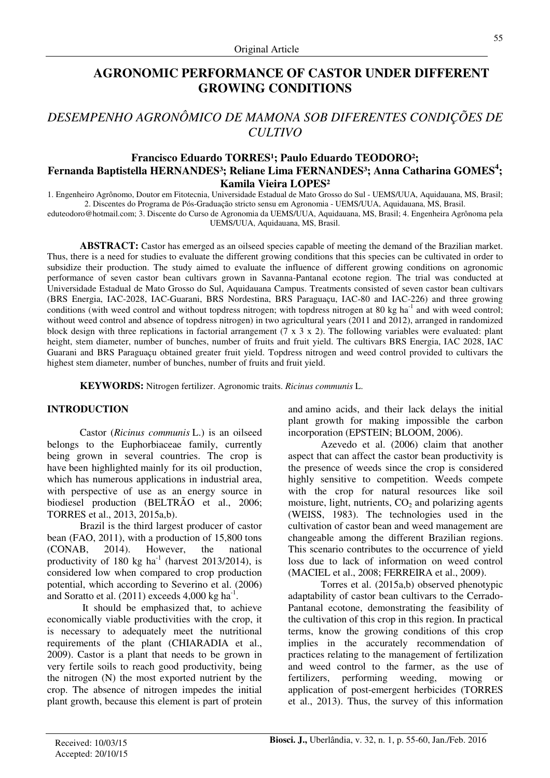## **AGRONOMIC PERFORMANCE OF CASTOR UNDER DIFFERENT GROWING CONDITIONS**

# *DESEMPENHO AGRONÔMICO DE MAMONA SOB DIFERENTES CONDIÇÕES DE CULTIVO*

## Francisco Eduardo TORRES<sup>1</sup>; Paulo Eduardo TEODORO<sup>2</sup>; **Fernanda Baptistella HERNANDES³; Reliane Lima FERNANDES³; Anna Catharina GOMES<sup>4</sup> ; Kamila Vieira LOPES²**

1. Engenheiro Agrônomo, Doutor em Fitotecnia, Universidade Estadual de Mato Grosso do Sul - UEMS/UUA, Aquidauana, MS, Brasil; 2. Discentes do Programa de Pós-Graduação stricto sensu em Agronomia - UEMS/UUA, Aquidauana, MS, Brasil.

eduteodoro@hotmail.com; 3. Discente do Curso de Agronomia da UEMS/UUA, Aquidauana, MS, Brasil; 4. Engenheira Agrônoma pela UEMS/UUA, Aquidauana, MS, Brasil.

**ABSTRACT:** Castor has emerged as an oilseed species capable of meeting the demand of the Brazilian market. Thus, there is a need for studies to evaluate the different growing conditions that this species can be cultivated in order to subsidize their production. The study aimed to evaluate the influence of different growing conditions on agronomic performance of seven castor bean cultivars grown in Savanna-Pantanal ecotone region. The trial was conducted at Universidade Estadual de Mato Grosso do Sul, Aquidauana Campus. Treatments consisted of seven castor bean cultivars (BRS Energia, IAC-2028, IAC-Guarani, BRS Nordestina, BRS Paraguaçu, IAC-80 and IAC-226) and three growing conditions (with weed control and without topdress nitrogen; with topdress nitrogen at 80 kg ha<sup>-1</sup> and with weed control; without weed control and absence of topdress nitrogen) in two agricultural years (2011 and 2012), arranged in randomized block design with three replications in factorial arrangement  $(7 \times 3 \times 2)$ . The following variables were evaluated: plant height, stem diameter, number of bunches, number of fruits and fruit yield. The cultivars BRS Energia, IAC 2028, IAC Guarani and BRS Paraguaçu obtained greater fruit yield. Topdress nitrogen and weed control provided to cultivars the highest stem diameter, number of bunches, number of fruits and fruit yield.

**KEYWORDS:** Nitrogen fertilizer. Agronomic traits. *Ricinus communis* L.

#### **INTRODUCTION**

Castor (*Ricinus communis* L.) is an oilseed belongs to the Euphorbiaceae family, currently being grown in several countries. The crop is have been highlighted mainly for its oil production, which has numerous applications in industrial area, with perspective of use as an energy source in biodiesel production (BELTRÃO et al., 2006; TORRES et al., 2013, 2015a,b).

Brazil is the third largest producer of castor bean (FAO, 2011), with a production of 15,800 tons (CONAB, 2014). However, the national productivity of 180 kg  $ha^{-1}$  (harvest 2013/2014), is considered low when compared to crop production potential, which according to Severino et al. (2006) and Soratto et al.  $(2011)$  exceeds 4,000 kg ha<sup>-1</sup>.

 It should be emphasized that, to achieve economically viable productivities with the crop, it is necessary to adequately meet the nutritional requirements of the plant (CHIARADIA et al., 2009). Castor is a plant that needs to be grown in very fertile soils to reach good productivity, being the nitrogen (N) the most exported nutrient by the crop. The absence of nitrogen impedes the initial plant growth, because this element is part of protein and amino acids, and their lack delays the initial plant growth for making impossible the carbon incorporation (EPSTEIN; BLOOM, 2006).

Azevedo et al. (2006) claim that another aspect that can affect the castor bean productivity is the presence of weeds since the crop is considered highly sensitive to competition. Weeds compete with the crop for natural resources like soil moisture, light, nutrients,  $CO<sub>2</sub>$  and polarizing agents (WEISS, 1983). The technologies used in the cultivation of castor bean and weed management are changeable among the different Brazilian regions. This scenario contributes to the occurrence of yield loss due to lack of information on weed control (MACIEL et al., 2008; FERREIRA et al., 2009).

Torres et al. (2015a,b) observed phenotypic adaptability of castor bean cultivars to the Cerrado-Pantanal ecotone, demonstrating the feasibility of the cultivation of this crop in this region. In practical terms, know the growing conditions of this crop implies in the accurately recommendation of practices relating to the management of fertilization and weed control to the farmer, as the use of fertilizers, performing weeding, mowing or application of post-emergent herbicides (TORRES et al., 2013). Thus, the survey of this information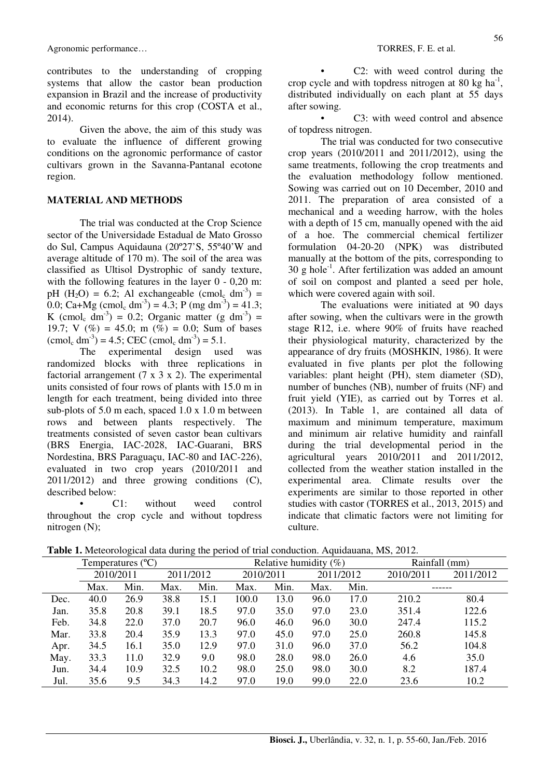Agronomic performance…  $\blacksquare$ 

contributes to the understanding of cropping systems that allow the castor bean production expansion in Brazil and the increase of productivity and economic returns for this crop (COSTA et al., 2014).

Given the above, the aim of this study was to evaluate the influence of different growing conditions on the agronomic performance of castor cultivars grown in the Savanna-Pantanal ecotone region.

#### **MATERIAL AND METHODS**

The trial was conducted at the Crop Science sector of the Universidade Estadual de Mato Grosso do Sul, Campus Aquidauna (20º27'S, 55º40'W and average altitude of 170 m). The soil of the area was classified as Ultisol Dystrophic of sandy texture, with the following features in the layer  $0 - 0.20$  m: pH  $(H_2O) = 6.2$ ; Al exchangeable  $(\text{cmol}_c \text{ dm}^3) =$ 0.0; Ca+Mg (cmol<sub>c</sub> dm<sup>-3</sup>) = 4.3; P (mg dm<sup>-3</sup>) = 41.3; K (cmol<sub>c</sub> dm<sup>-3</sup>) = 0.2; Organic matter (g dm<sup>-3</sup>) = 19.7; V (%) = 45.0; m (%) = 0.0; Sum of bases  $(\text{cmol}_c \text{ dm}^3) = 4.5$ ; CEC  $(\text{cmol}_c \text{ dm}^3) = 5.1$ .

The experimental design used was randomized blocks with three replications in factorial arrangement  $(7 \times 3 \times 2)$ . The experimental units consisted of four rows of plants with 15.0 m in length for each treatment, being divided into three sub-plots of 5.0 m each, spaced 1.0 x 1.0 m between rows and between plants respectively. The treatments consisted of seven castor bean cultivars (BRS Energia, IAC-2028, IAC-Guarani, BRS Nordestina, BRS Paraguaçu, IAC-80 and IAC-226), evaluated in two crop years (2010/2011 and 2011/2012) and three growing conditions (C), described below:

C1: without weed control throughout the crop cycle and without topdress nitrogen (N);

• C2: with weed control during the crop cycle and with topdress nitrogen at 80 kg  $ha^{-1}$ , distributed individually on each plant at 55 days after sowing.

C3: with weed control and absence of topdress nitrogen.

The trial was conducted for two consecutive crop years (2010/2011 and 2011/2012), using the same treatments, following the crop treatments and the evaluation methodology follow mentioned. Sowing was carried out on 10 December, 2010 and 2011. The preparation of area consisted of a mechanical and a weeding harrow, with the holes with a depth of 15 cm, manually opened with the aid of a hoe. The commercial chemical fertilizer formulation 04-20-20 (NPK) was distributed manually at the bottom of the pits, corresponding to  $30 \text{ g hole}^{-1}$ . After fertilization was added an amount of soil on compost and planted a seed per hole, which were covered again with soil.

The evaluations were initiated at 90 days after sowing, when the cultivars were in the growth stage R12, i.e. where 90% of fruits have reached their physiological maturity, characterized by the appearance of dry fruits (MOSHKIN, 1986). It were evaluated in five plants per plot the following variables: plant height (PH), stem diameter (SD), number of bunches (NB), number of fruits (NF) and fruit yield (YIE), as carried out by Torres et al. (2013). In Table 1, are contained all data of maximum and minimum temperature, maximum and minimum air relative humidity and rainfall during the trial developmental period in the agricultural years 2010/2011 and 2011/2012, collected from the weather station installed in the experimental area. Climate results over the experiments are similar to those reported in other studies with castor (TORRES et al., 2013, 2015) and indicate that climatic factors were not limiting for culture.

|  |  | Table 1. Meteorological data during the period of trial conduction. Aquidauana, MS, 2012. |
|--|--|-------------------------------------------------------------------------------------------|
|  |  |                                                                                           |

|      | Temperatures $(^{\circ}C)$ |      |           |      | Relative humidity $(\%)$ |      |      |           | Rainfall (mm) |           |
|------|----------------------------|------|-----------|------|--------------------------|------|------|-----------|---------------|-----------|
|      | 2010/2011                  |      | 2011/2012 |      | 2010/2011                |      |      | 2011/2012 | 2010/2011     | 2011/2012 |
|      | Max.                       | Min. | Max.      | Min. | Max.                     | Min. | Max. | Min.      |               |           |
| Dec. | 40.0                       | 26.9 | 38.8      | 15.1 | 100.0                    | 13.0 | 96.0 | 17.0      | 210.2         | 80.4      |
| Jan. | 35.8                       | 20.8 | 39.1      | 18.5 | 97.0                     | 35.0 | 97.0 | 23.0      | 351.4         | 122.6     |
| Feb. | 34.8                       | 22.0 | 37.0      | 20.7 | 96.0                     | 46.0 | 96.0 | 30.0      | 247.4         | 115.2     |
| Mar. | 33.8                       | 20.4 | 35.9      | 13.3 | 97.0                     | 45.0 | 97.0 | 25.0      | 260.8         | 145.8     |
| Apr. | 34.5                       | 16.1 | 35.0      | 12.9 | 97.0                     | 31.0 | 96.0 | 37.0      | 56.2          | 104.8     |
| May. | 33.3                       | 11.0 | 32.9      | 9.0  | 98.0                     | 28.0 | 98.0 | 26.0      | 4.6           | 35.0      |
| Jun. | 34.4                       | 10.9 | 32.5      | 10.2 | 98.0                     | 25.0 | 98.0 | 30.0      | 8.2           | 187.4     |
| Jul. | 35.6                       | 9.5  | 34.3      | 14.2 | 97.0                     | 19.0 | 99.0 | 22.0      | 23.6          | 10.2      |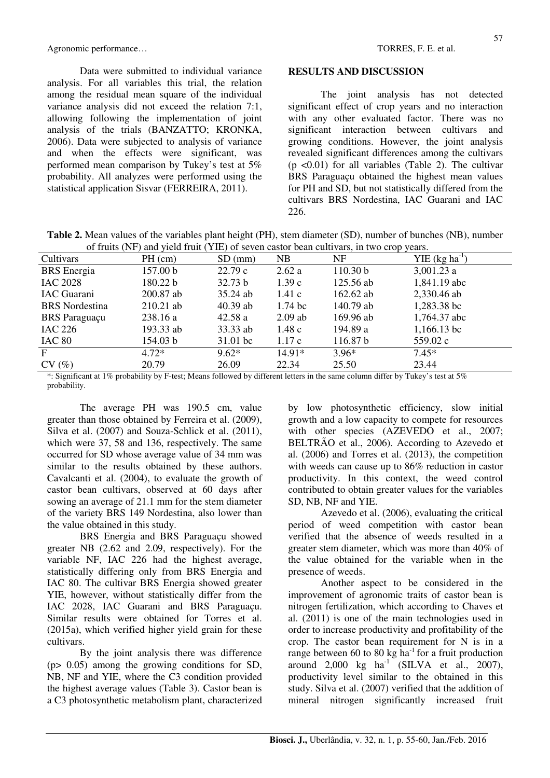Agronomic performance…  $\blacksquare$ 

Data were submitted to individual variance analysis. For all variables this trial, the relation among the residual mean square of the individual variance analysis did not exceed the relation 7:1, allowing following the implementation of joint analysis of the trials (BANZATTO; KRONKA, 2006). Data were subjected to analysis of variance and when the effects were significant, was performed mean comparison by Tukey's test at 5% probability. All analyzes were performed using the statistical application Sisvar (FERREIRA, 2011).

#### **RESULTS AND DISCUSSION**

The joint analysis has not detected significant effect of crop years and no interaction with any other evaluated factor. There was no significant interaction between cultivars and growing conditions. However, the joint analysis revealed significant differences among the cultivars  $(p \le 0.01)$  for all variables (Table 2). The cultivar BRS Paraguaçu obtained the highest mean values for PH and SD, but not statistically differed from the cultivars BRS Nordestina, IAC Guarani and IAC 226.

**Table 2.** Mean values of the variables plant height (PH), stem diameter (SD), number of bunches (NB), number of fruits (NF) and yield fruit (YIE) of seven castor bean cultivars, in two crop years.

| Cultivars                                                | of Hunter (1 if ) and flow hunt (1 iii) of Seven easier cean early also have veep years.<br>$PH$ (cm)                                                                                                                                                                                                       | $SD$ (mm)      | NB                                                                                                | NF                          | YIE $(kg ha^{-1})$ |
|----------------------------------------------------------|-------------------------------------------------------------------------------------------------------------------------------------------------------------------------------------------------------------------------------------------------------------------------------------------------------------|----------------|---------------------------------------------------------------------------------------------------|-----------------------------|--------------------|
|                                                          |                                                                                                                                                                                                                                                                                                             |                |                                                                                                   |                             |                    |
| <b>BRS</b> Energia                                       | 157.00 b                                                                                                                                                                                                                                                                                                    | 22.79c         | 2.62a                                                                                             | 110.30 <sub>b</sub>         | $3,001.23$ a       |
| <b>IAC 2028</b>                                          | 180.22 b                                                                                                                                                                                                                                                                                                    | 32.73 b        | 1.39c                                                                                             | $125.56$ ab                 | 1,841.19 abc       |
| <b>IAC</b> Guarani                                       | $200.87$ ab                                                                                                                                                                                                                                                                                                 | $35.24$ ab     | 1.41c                                                                                             | 162.62 ab                   | 2,330.46 ab        |
| <b>BRS</b> Nordestina                                    | $210.21$ ab                                                                                                                                                                                                                                                                                                 | $40.39$ ab     | $1.74~\mathrm{bc}$                                                                                | 140.79 ab                   | 1,283.38 bc        |
| <b>BRS</b> Paraguaçu                                     | 238.16 a                                                                                                                                                                                                                                                                                                    | 42.58a         | $2.09$ ab                                                                                         | 169.96 ab                   | 1,764.37 abc       |
| <b>IAC 226</b>                                           | 193.33 ab                                                                                                                                                                                                                                                                                                   | 33.33 ab       | 1.48c                                                                                             | 194.89 a                    | $1,166.13$ bc      |
| IAC 80                                                   | 154.03 b                                                                                                                                                                                                                                                                                                    | 31.01 bc       | 1.17c                                                                                             | 116.87 b                    | 559.02 c           |
| $\mathbf{F}$                                             | $4.72*$                                                                                                                                                                                                                                                                                                     | $9.62*$        | $14.91*$                                                                                          | $3.96*$                     | $7.45*$            |
| CV(%)                                                    | 20.79                                                                                                                                                                                                                                                                                                       | 26.09          | 22.34                                                                                             | 25.50                       | 23.44              |
| $\sim$<br>$\cdots$ $\sim$<br>$\sim$ $\sim$ $\sim$ $\sim$ | $\mathbf{r}$ , $\mathbf{r}$ , $\mathbf{r}$ , $\mathbf{r}$ , $\mathbf{r}$ , $\mathbf{r}$ , $\mathbf{r}$ , $\mathbf{r}$ , $\mathbf{r}$ , $\mathbf{r}$ , $\mathbf{r}$ , $\mathbf{r}$ , $\mathbf{r}$ , $\mathbf{r}$ , $\mathbf{r}$ , $\mathbf{r}$ , $\mathbf{r}$ , $\mathbf{r}$ , $\mathbf{r}$ , $\mathbf{r}$ , | $\alpha$ 11 11 | $\mathbf{1} \cdot \mathbf{e} \cdot \mathbf{e}$ . $\mathbf{1} \cdot \mathbf{e}$<br>$\cdot$ $\cdot$ | $1.00 - 1$<br>$\sim$ $\sim$ | $-1$ $-1$          |

\*: Significant at 1% probability by F-test; Means followed by different letters in the same column differ by Tukey's test at 5% probability.

The average PH was 190.5 cm, value greater than those obtained by Ferreira et al. (2009), Silva et al. (2007) and Souza-Schlick et al. (2011), which were 37, 58 and 136, respectively. The same occurred for SD whose average value of 34 mm was similar to the results obtained by these authors. Cavalcanti et al. (2004), to evaluate the growth of castor bean cultivars, observed at 60 days after sowing an average of 21.1 mm for the stem diameter of the variety BRS 149 Nordestina, also lower than the value obtained in this study.

BRS Energia and BRS Paraguaçu showed greater NB (2.62 and 2.09, respectively). For the variable NF, IAC 226 had the highest average, statistically differing only from BRS Energia and IAC 80. The cultivar BRS Energia showed greater YIE, however, without statistically differ from the IAC 2028, IAC Guarani and BRS Paraguaçu. Similar results were obtained for Torres et al. (2015a), which verified higher yield grain for these cultivars.

By the joint analysis there was difference (p> 0.05) among the growing conditions for SD, NB, NF and YIE, where the C3 condition provided the highest average values (Table 3). Castor bean is a C3 photosynthetic metabolism plant, characterized by low photosynthetic efficiency, slow initial growth and a low capacity to compete for resources with other species (AZEVEDO et al., 2007; BELTRÃO et al., 2006). According to Azevedo et al. (2006) and Torres et al. (2013), the competition with weeds can cause up to 86% reduction in castor productivity. In this context, the weed control contributed to obtain greater values for the variables SD, NB, NF and YIE.

Azevedo et al. (2006), evaluating the critical period of weed competition with castor bean verified that the absence of weeds resulted in a greater stem diameter, which was more than 40% of the value obtained for the variable when in the presence of weeds.

Another aspect to be considered in the improvement of agronomic traits of castor bean is nitrogen fertilization, which according to Chaves et al. (2011) is one of the main technologies used in order to increase productivity and profitability of the crop. The castor bean requirement for N is in a range between 60 to 80 kg ha<sup>-1</sup> for a fruit production around  $2,000 \text{ kg } \text{ha}^{-1}$  (SILVA et al., 2007), productivity level similar to the obtained in this study. Silva et al. (2007) verified that the addition of mineral nitrogen significantly increased fruit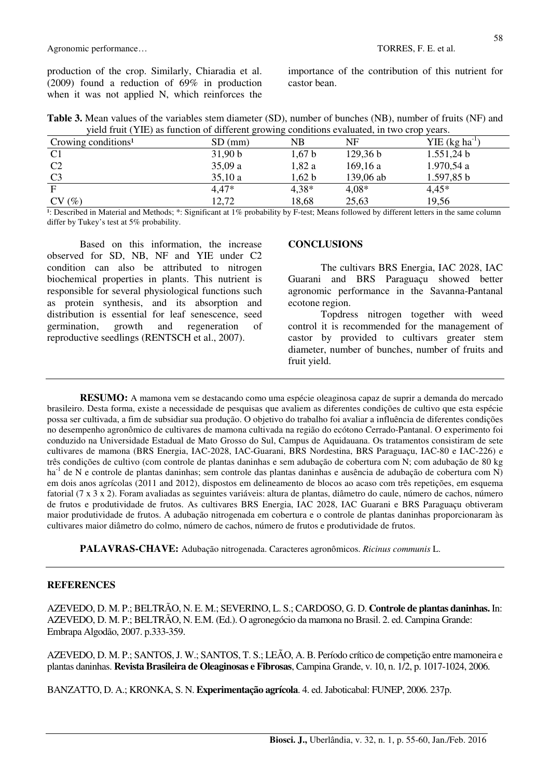production of the crop. Similarly, Chiaradia et al. (2009) found a reduction of 69% in production when it was not applied N, which reinforces the importance of the contribution of this nutrient for castor bean.

| Table 3. Mean values of the variables stem diameter (SD), number of bunches (NB), number of fruits (NF) and |
|-------------------------------------------------------------------------------------------------------------|
| yield fruit (YIE) as function of different growing conditions evaluated, in two crop years.                 |

| Crowing conditions <sup>1</sup> | $SD$ (mm) | $_{\rm NB}$ | NF        | $YIE$ (kg ha <sup>-1</sup> ) |
|---------------------------------|-----------|-------------|-----------|------------------------------|
| C <sub>1</sub>                  | 31,90 b   | 1,67b       | 129,36 b  | 1.551,24 b                   |
| C <sub>2</sub>                  | 35,09a    | 1,82a       | 169, 16a  | 1.970,54 a                   |
| C <sub>3</sub>                  | 35,10a    | 1,62 b      | 139,06 ab | 1.597,85 b                   |
| F                               | $4.47*$   | $4,38*$     | $4.08*$   | $4,45*$                      |
| (%)<br>CV                       | 12,72     | 18,68       | 25,63     | 19,56                        |

<sup>1</sup>: Described in Material and Methods; \*: Significant at 1% probability by F-test; Means followed by different letters in the same column differ by Tukey's test at 5% probability.

Based on this information, the increase observed for SD, NB, NF and YIE under C2 condition can also be attributed to nitrogen biochemical properties in plants. This nutrient is responsible for several physiological functions such as protein synthesis, and its absorption and distribution is essential for leaf senescence, seed germination, growth and regeneration of reproductive seedlings (RENTSCH et al., 2007).

#### **CONCLUSIONS**

The cultivars BRS Energia, IAC 2028, IAC Guarani and BRS Paraguaçu showed better agronomic performance in the Savanna-Pantanal ecotone region.

Topdress nitrogen together with weed control it is recommended for the management of castor by provided to cultivars greater stem diameter, number of bunches, number of fruits and fruit yield.

**RESUMO:** A mamona vem se destacando como uma espécie oleaginosa capaz de suprir a demanda do mercado brasileiro. Desta forma, existe a necessidade de pesquisas que avaliem as diferentes condições de cultivo que esta espécie possa ser cultivada, a fim de subsidiar sua produção. O objetivo do trabalho foi avaliar a influência de diferentes condições no desempenho agronômico de cultivares de mamona cultivada na região do ecótono Cerrado-Pantanal. O experimento foi conduzido na Universidade Estadual de Mato Grosso do Sul, Campus de Aquidauana. Os tratamentos consistiram de sete cultivares de mamona (BRS Energia, IAC-2028, IAC-Guarani, BRS Nordestina, BRS Paraguaçu, IAC-80 e IAC-226) e três condições de cultivo (com controle de plantas daninhas e sem adubação de cobertura com N; com adubação de 80 kg ha<sup>-1</sup> de N e controle de plantas daninhas; sem controle das plantas daninhas e ausência de adubação de cobertura com N) em dois anos agrícolas (2011 and 2012), dispostos em delineamento de blocos ao acaso com três repetições, em esquema fatorial (7 x 3 x 2). Foram avaliadas as seguintes variáveis: altura de plantas, diâmetro do caule, número de cachos, número de frutos e produtividade de frutos. As cultivares BRS Energia, IAC 2028, IAC Guarani e BRS Paraguaçu obtiveram maior produtividade de frutos. A adubação nitrogenada em cobertura e o controle de plantas daninhas proporcionaram às cultivares maior diâmetro do colmo, número de cachos, número de frutos e produtividade de frutos.

**PALAVRAS-CHAVE:** Adubação nitrogenada. Caracteres agronômicos. *Ricinus communis* L.

### **REFERENCES**

AZEVEDO, D. M. P.; BELTRÃO, N. E. M.; SEVERINO, L. S.; CARDOSO, G. D. **Controle de plantas daninhas.** In: AZEVEDO, D. M. P.; BELTRÃO, N. E.M. (Ed.). O agronegócio da mamona no Brasil. 2. ed. Campina Grande: Embrapa Algodão, 2007. p.333-359.

AZEVEDO, D. M. P.; SANTOS, J. W.; SANTOS, T. S.; LEÃO, A. B. Período crítico de competição entre mamoneira e plantas daninhas. **Revista Brasileira de Oleaginosas e Fibrosas**, Campina Grande, v. 10, n. 1/2, p. 1017-1024, 2006.

BANZATTO, D. A.; KRONKA, S. N. **Experimentação agrícola**. 4. ed. Jaboticabal: FUNEP, 2006. 237p.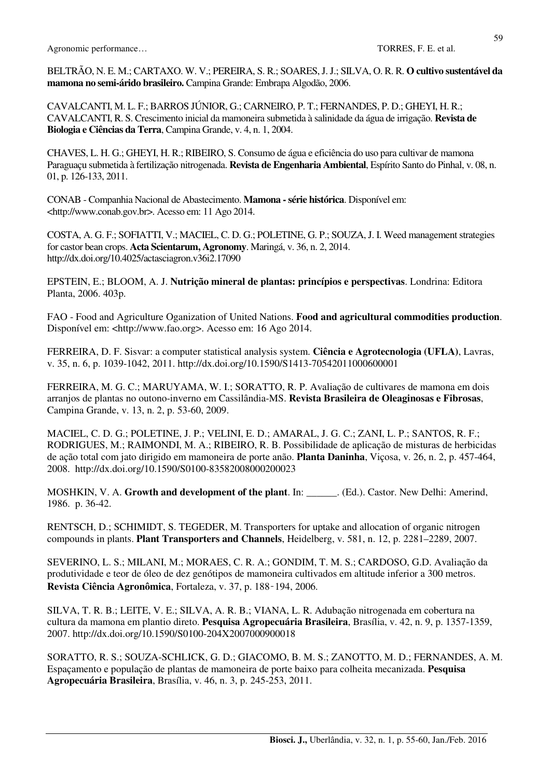Agronomic performance…  $\blacksquare$  TORRES, F. E. et al.

BELTRÃO, N. E. M.; CARTAXO. W. V.; PEREIRA, S. R.; SOARES, J. J.; SILVA, O. R. R. **O cultivo sustentável da mamona no semi-árido brasileiro.** Campina Grande: Embrapa Algodão, 2006.

CAVALCANTI, M. L. F.; BARROS JÚNIOR, G.; CARNEIRO, P. T.; FERNANDES, P. D.; GHEYI, H. R.; CAVALCANTI, R. S. Crescimento inicial da mamoneira submetida à salinidade da água de irrigação. **Revista de Biologia e Ciências da Terra**, Campina Grande, v. 4, n. 1, 2004.

CHAVES, L. H. G.; GHEYI, H. R.; RIBEIRO, S. Consumo de água e eficiência do uso para cultivar de mamona Paraguaçu submetida à fertilização nitrogenada. **Revista de Engenharia Ambiental**, Espírito Santo do Pinhal, v. 08, n. 01, p. 126-133, 2011.

CONAB - Companhia Nacional de Abastecimento. **Mamona - série histórica**. Disponível em: <http://www.conab.gov.br>. Acesso em: 11 Ago 2014.

COSTA, A. G. F.; SOFIATTI, V.; MACIEL, C. D. G.; POLETINE, G. P.; SOUZA, J. I. Weed management strategies for castor bean crops. **Acta Scientarum, Agronomy**. Maringá, v. 36, n. 2, 2014. http://dx.doi.org/10.4025/actasciagron.v36i2.17090

EPSTEIN, E.; BLOOM, A. J. **Nutrição mineral de plantas: princípios e perspectivas**. Londrina: Editora Planta, 2006. 403p.

FAO - Food and Agriculture Oganization of United Nations. **Food and agricultural commodities production**. Disponível em: <http://www.fao.org>. Acesso em: 16 Ago 2014.

FERREIRA, D. F. Sisvar: a computer statistical analysis system. **Ciência e Agrotecnologia (UFLA)**, Lavras, v. 35, n. 6, p. 1039-1042, 2011. http://dx.doi.org/10.1590/S1413-70542011000600001

FERREIRA, M. G. C.; MARUYAMA, W. I.; SORATTO, R. P. Avaliação de cultivares de mamona em dois arranjos de plantas no outono-inverno em Cassilândia-MS. **Revista Brasileira de Oleaginosas e Fibrosas**, Campina Grande, v. 13, n. 2, p. 53-60, 2009.

MACIEL, C. D. G.; POLETINE, J. P.; VELINI, E. D.; AMARAL, J. G. C.; ZANI, L. P.; SANTOS, R. F.; RODRIGUES, M.; RAIMONDI, M. A.; RIBEIRO, R. B. Possibilidade de aplicação de misturas de herbicidas de ação total com jato dirigido em mamoneira de porte anão. **Planta Daninha**, Viçosa, v. 26, n. 2, p. 457-464, 2008. http://dx.doi.org/10.1590/S0100-83582008000200023

MOSHKIN, V. A. **Growth and development of the plant**. In: \_\_\_\_\_\_. (Ed.). Castor. New Delhi: Amerind, 1986. p. 36-42.

RENTSCH, D.; SCHIMIDT, S. TEGEDER, M. Transporters for uptake and allocation of organic nitrogen compounds in plants. **Plant Transporters and Channels**, Heidelberg, v. 581, n. 12, p. 2281–2289, 2007.

SEVERINO, L. S.; MILANI, M.; MORAES, C. R. A.; GONDIM, T. M. S.; CARDOSO, G.D. Avaliação da produtividade e teor de óleo de dez genótipos de mamoneira cultivados em altitude inferior a 300 metros. **Revista Ciência Agronômica**, Fortaleza, v. 37, p. 188‑194, 2006.

SILVA, T. R. B.; LEITE, V. E.; SILVA, A. R. B.; VIANA, L. R. Adubação nitrogenada em cobertura na cultura da mamona em plantio direto. **Pesquisa Agropecuária Brasileira**, Brasília, v. 42, n. 9, p. 1357-1359, 2007. http://dx.doi.org/10.1590/S0100-204X2007000900018

SORATTO, R. S.; SOUZA-SCHLICK, G. D.; GIACOMO, B. M. S.; ZANOTTO, M. D.; FERNANDES, A. M. Espaçamento e população de plantas de mamoneira de porte baixo para colheita mecanizada. **Pesquisa Agropecuária Brasileira**, Brasília, v. 46, n. 3, p. 245-253, 2011.